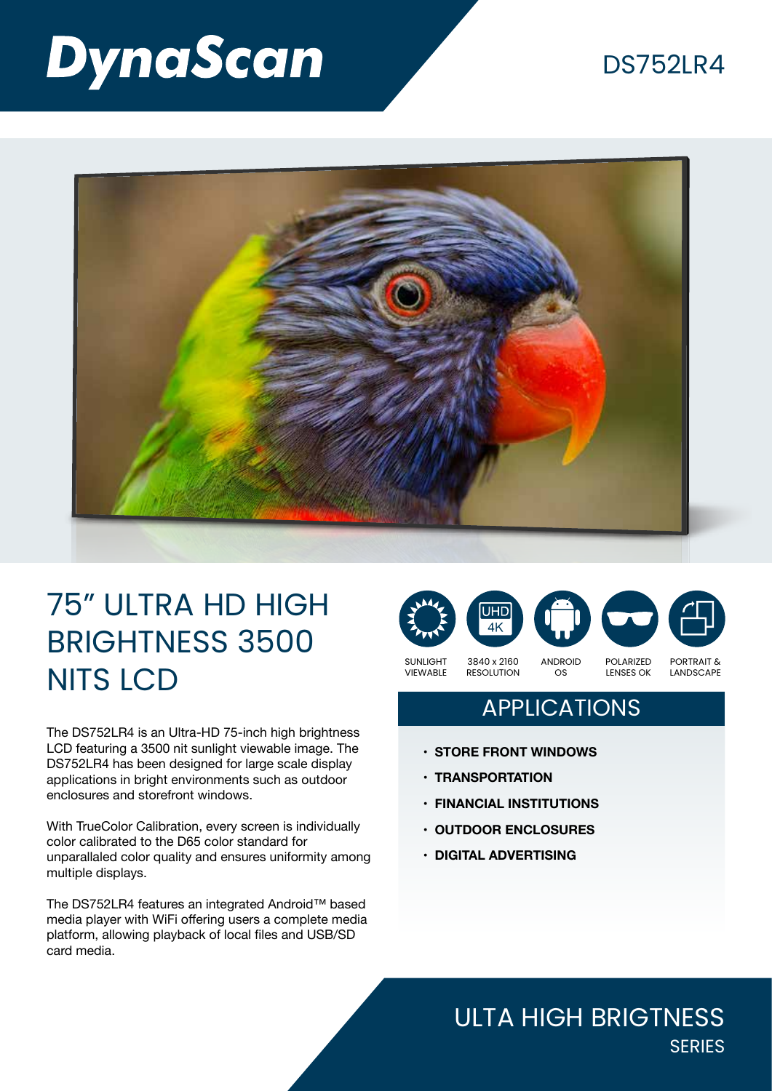# **DynaScan**

### DS752LR4



## 75" ULTRA HD HIGH BRIGHTNESS 3500 NITS LCD

The DS752LR4 is an Ultra-HD 75-inch high brightness LCD featuring a 3500 nit sunlight viewable image. The DS752LR4 has been designed for large scale display applications in bright environments such as outdoor enclosures and storefront windows.

With TrueColor Calibration, every screen is individually color calibrated to the D65 color standard for unparallaled color quality and ensures uniformity among multiple displays.

The DS752LR4 features an integrated Android™ based media player with WiFi offering users a complete media platform, allowing playback of local files and USB/SD card media.



### APPLICATIONS

- **• STORE FRONT WINDOWS**
- **• TRANSPORTATION**
- **• FINANCIAL INSTITUTIONS**
- **• OUTDOOR ENCLOSURES**
- **• DIGITAL ADVERTISING**

#### ULTA HIGH BRIGTNESS **SERIES**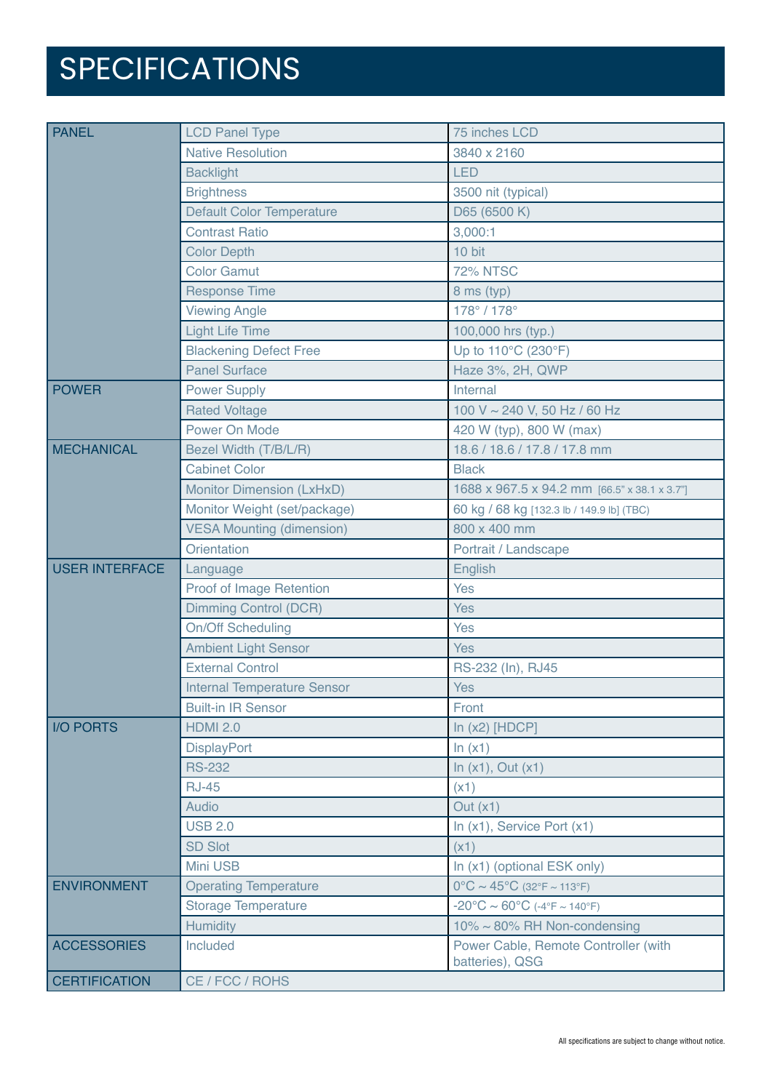# SPECIFICATIONS

| <b>PANEL</b>          | <b>LCD Panel Type</b>              | 75 inches LCD                                           |
|-----------------------|------------------------------------|---------------------------------------------------------|
|                       | <b>Native Resolution</b>           | 3840 x 2160                                             |
|                       | <b>Backlight</b>                   | <b>LED</b>                                              |
|                       | <b>Brightness</b>                  | 3500 nit (typical)                                      |
|                       | <b>Default Color Temperature</b>   | D65 (6500 K)                                            |
|                       | <b>Contrast Ratio</b>              | 3,000:1                                                 |
|                       | <b>Color Depth</b>                 | 10 bit                                                  |
|                       | <b>Color Gamut</b>                 | <b>72% NTSC</b>                                         |
|                       | <b>Response Time</b>               | 8 ms (typ)                                              |
|                       | <b>Viewing Angle</b>               | 178°/178°                                               |
|                       | <b>Light Life Time</b>             | 100,000 hrs (typ.)                                      |
|                       | <b>Blackening Defect Free</b>      | Up to 110°C (230°F)                                     |
|                       | <b>Panel Surface</b>               | Haze 3%, 2H, QWP                                        |
| <b>POWER</b>          | <b>Power Supply</b>                | Internal                                                |
|                       | <b>Rated Voltage</b>               | 100 V ~ 240 V, 50 Hz / 60 Hz                            |
|                       | Power On Mode                      | 420 W (typ), 800 W (max)                                |
| <b>MECHANICAL</b>     | Bezel Width (T/B/L/R)              | 18.6 / 18.6 / 17.8 / 17.8 mm                            |
|                       | <b>Cabinet Color</b>               | <b>Black</b>                                            |
|                       | Monitor Dimension (LxHxD)          | 1688 x 967.5 x 94.2 mm [66.5" x 38.1 x 3.7"]            |
|                       | Monitor Weight (set/package)       | 60 kg / 68 kg [132.3 lb / 149.9 lb] (TBC)               |
|                       | <b>VESA Mounting (dimension)</b>   | 800 x 400 mm                                            |
|                       | Orientation                        | Portrait / Landscape                                    |
| <b>USER INTERFACE</b> | Language                           | English                                                 |
|                       | Proof of Image Retention           | Yes                                                     |
|                       | <b>Dimming Control (DCR)</b>       | <b>Yes</b>                                              |
|                       | <b>On/Off Scheduling</b>           | <b>Yes</b>                                              |
|                       | <b>Ambient Light Sensor</b>        | <b>Yes</b>                                              |
|                       | <b>External Control</b>            | RS-232 (In), RJ45                                       |
|                       | <b>Internal Temperature Sensor</b> | <b>Yes</b>                                              |
|                       | <b>Built-in IR Sensor</b>          | Front                                                   |
| <b>IO PORTS</b>       | <b>HDMI 2.0</b>                    | In $(x2)$ [HDCP]                                        |
|                       | <b>DisplayPort</b>                 | ln(x1)                                                  |
|                       | <b>RS-232</b>                      | In $(x1)$ , Out $(x1)$                                  |
|                       | <b>RJ-45</b>                       | (x1)                                                    |
|                       | Audio                              | Out $(x1)$                                              |
|                       | <b>USB 2.0</b>                     | In (x1), Service Port (x1)                              |
|                       | <b>SD Slot</b>                     | (x1)                                                    |
|                       | Mini USB                           | In (x1) (optional ESK only)                             |
| <b>ENVIRONMENT</b>    | <b>Operating Temperature</b>       | $0^{\circ}$ C ~ 45°C (32°F ~ 113°F)                     |
|                       | <b>Storage Temperature</b>         | $-20^{\circ}$ C ~ 60°C (-4°F ~ 140°F)                   |
|                       | <b>Humidity</b>                    | $10\% \sim 80\%$ RH Non-condensing                      |
| <b>ACCESSORIES</b>    | Included                           | Power Cable, Remote Controller (with<br>batteries), QSG |
| <b>CERTIFICATION</b>  | CE / FCC / ROHS                    |                                                         |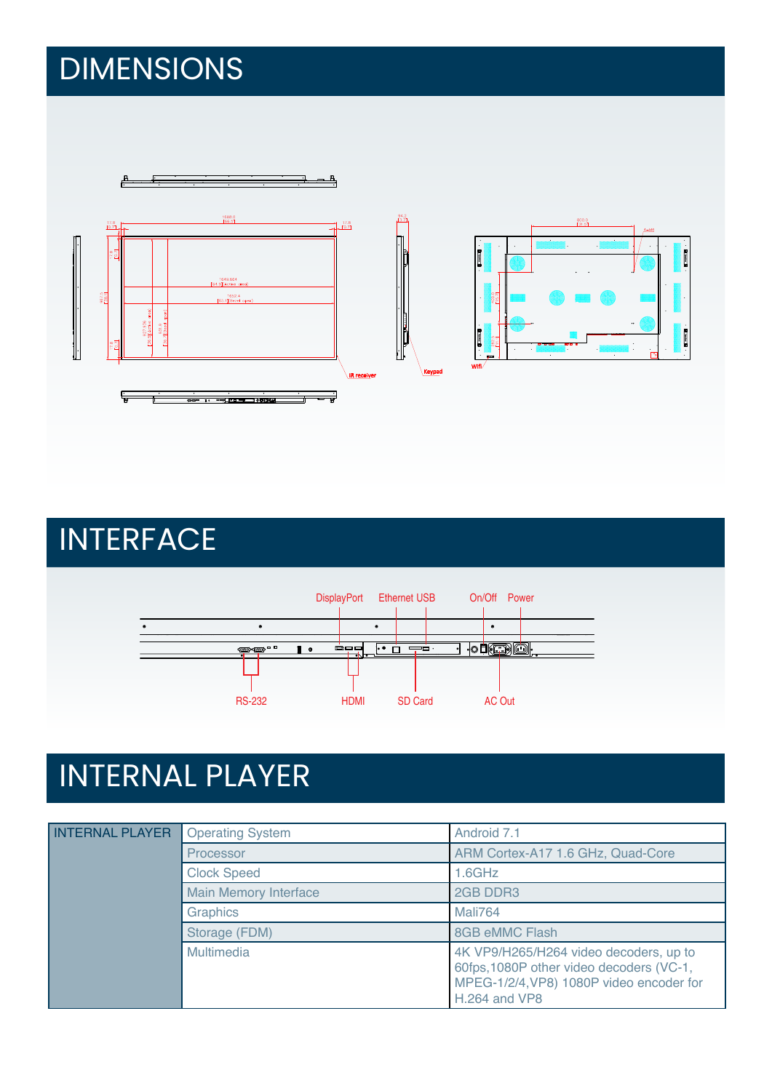# DIMENSIONS

![](_page_2_Figure_1.jpeg)

INTERFACE

![](_page_2_Figure_3.jpeg)

# INTERNAL PLAYER

| <b>INTERNAL PLAYER</b> | <b>Operating System</b>      | Android 7.1                                                                                                                                     |
|------------------------|------------------------------|-------------------------------------------------------------------------------------------------------------------------------------------------|
|                        | Processor                    | ARM Cortex-A17 1.6 GHz, Quad-Core                                                                                                               |
|                        | <b>Clock Speed</b>           | $1.6$ GHz                                                                                                                                       |
|                        | <b>Main Memory Interface</b> | 2GB DDR3                                                                                                                                        |
|                        | Graphics                     | Mali764                                                                                                                                         |
|                        | Storage (FDM)                | 8GB eMMC Flash                                                                                                                                  |
|                        | Multimedia                   | 4K VP9/H265/H264 video decoders, up to<br>60fps, 1080P other video decoders (VC-1,<br>MPEG-1/2/4, VP8) 1080P video encoder for<br>H.264 and VP8 |